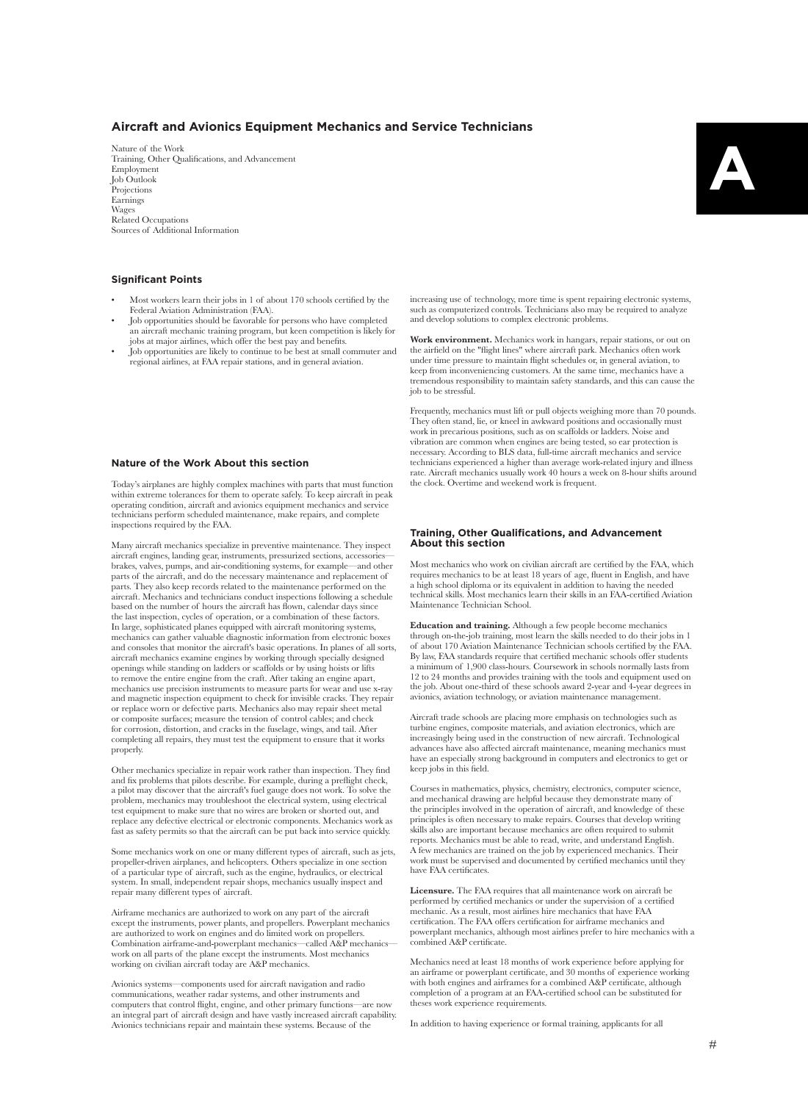# **Aircraft and Avionics Equipment Mechanics and Service Technicians**

Nature of the Work Training, Other Qualifications, and Advancement Employment Job Outlook Projections Earnings Wages Related Occupations Sources of Additional Information

### **Significant Points**

- Most workers learn their jobs in 1 of about 170 schools certified by the Federal Aviation Administration (FAA).
- Job opportunities should be favorable for persons who have completed an aircraft mechanic training program, but keen competition is likely for jobs at major airlines, which offer the best pay and benefits.
- • Job opportunities are likely to continue to be best at small commuter and regional airlines, at FAA repair stations, and in general aviation.

### **Nature of the Work About this section**

Today's airplanes are highly complex machines with parts that must function within extreme tolerances for them to operate safely. To keep aircraft in peak operating condition, aircraft and avionics equipment mechanics and service technicians perform scheduled maintenance, make repairs, and complete inspections required by the FAA.

Many aircraft mechanics specialize in preventive maintenance. They inspect aircraft engines, landing gear, instruments, pressurized sections, accessories brakes, valves, pumps, and air-conditioning systems, for example—and other parts of the aircraft, and do the necessary maintenance and replacement of parts. They also keep records related to the maintenance performed on the aircraft. Mechanics and technicians conduct inspections following a schedule based on the number of hours the aircraft has flown, calendar days since the last inspection, cycles of operation, or a combination of these factors. In large, sophisticated planes equipped with aircraft monitoring systems, mechanics can gather valuable diagnostic information from electronic boxes and consoles that monitor the aircraft's basic operations. In planes of all sorts, aircraft mechanics examine engines by working through specially designed openings while standing on ladders or scaffolds or by using hoists or lifts to remove the entire engine from the craft. After taking an engine apart, mechanics use precision instruments to measure parts for wear and use x-ray and magnetic inspection equipment to check for invisible cracks. They repair or replace worn or defective parts. Mechanics also may repair sheet metal or composite surfaces; measure the tension of control cables; and check for corrosion, distortion, and cracks in the fuselage, wings, and tail. After completing all repairs, they must test the equipment to ensure that it works properly.

Other mechanics specialize in repair work rather than inspection. They find and fix problems that pilots describe. For example, during a preflight check, a pilot may discover that the aircraft's fuel gauge does not work. To solve the problem, mechanics may troubleshoot the electrical system, using electrical test equipment to make sure that no wires are broken or shorted out, and replace any defective electrical or electronic components. Mechanics work as fast as safety permits so that the aircraft can be put back into service quickly.

Some mechanics work on one or many different types of aircraft, such as jets, propeller-driven airplanes, and helicopters. Others specialize in one section of a particular type of aircraft, such as the engine, hydraulics, or electrical system. In small, independent repair shops, mechanics usually inspect and repair many different types of aircraft.

Airframe mechanics are authorized to work on any part of the aircraft except the instruments, power plants, and propellers. Powerplant mechanics are authorized to work on engines and do limited work on propellers. Combination airframe-and-powerplant mechanics—called A&P mechanics work on all parts of the plane except the instruments. Most mechanics working on civilian aircraft today are A&P mechanics.

Avionics systems—components used for aircraft navigation and radio communications, weather radar systems, and other instruments and computers that control flight, engine, and other primary functions—are now an integral part of aircraft design and have vastly increased aircraft capability. Avionics technicians repair and maintain these systems. Because of the

**A**

increasing use of technology, more time is spent repairing electronic systems, such as computerized controls. Technicians also may be required to analyze and develop solutions to complex electronic problems.

**Work environment.** Mechanics work in hangars, repair stations, or out on the airfield on the "flight lines" where aircraft park. Mechanics often work under time pressure to maintain flight schedules or, in general aviation, to keep from inconveniencing customers. At the same time, mechanics have a tremendous responsibility to maintain safety standards, and this can cause the job to be stressful.

Frequently, mechanics must lift or pull objects weighing more than 70 pounds. They often stand, lie, or kneel in awkward positions and occasionally must work in precarious positions, such as on scaffolds or ladders. Noise and vibration are common when engines are being tested, so ear protection is necessary. According to BLS data, full-time aircraft mechanics and service technicians experienced a higher than average work-related injury and illness rate. Aircraft mechanics usually work 40 hours a week on 8-hour shifts around the clock. Overtime and weekend work is frequent.

### **Training, Other Qualifications, and Advancement About this section**

Most mechanics who work on civilian aircraft are certified by the FAA, which requires mechanics to be at least 18 years of age, fluent in English, and have a high school diploma or its equivalent in addition to having the needed technical skills. Most mechanics learn their skills in an FAA-certified Aviation Maintenance Technician School.

**Education and training.** Although a few people become mechanics through on-the-job training, most learn the skills needed to do their jobs in 1 of about 170 Aviation Maintenance Technician schools certified by the FAA. By law, FAA standards require that certified mechanic schools offer students a minimum of 1,900 class-hours. Coursework in schools normally lasts from 12 to 24 months and provides training with the tools and equipment used on the job. About one-third of these schools award 2-year and 4-year degrees in avionics, aviation technology, or aviation maintenance management.

Aircraft trade schools are placing more emphasis on technologies such as turbine engines, composite materials, and aviation electronics, which are increasingly being used in the construction of new aircraft. Technological advances have also affected aircraft maintenance, meaning mechanics must have an especially strong background in computers and electronics to get or keep jobs in this field.

Courses in mathematics, physics, chemistry, electronics, computer science, and mechanical drawing are helpful because they demonstrate many of the principles involved in the operation of aircraft, and knowledge of these principles is often necessary to make repairs. Courses that develop writing skills also are important because mechanics are often required to submit reports. Mechanics must be able to read, write, and understand English. A few mechanics are trained on the job by experienced mechanics. Their work must be supervised and documented by certified mechanics until they have FAA certificates.

**Licensure.** The FAA requires that all maintenance work on aircraft be performed by certified mechanics or under the supervision of a certified mechanic. As a result, most airlines hire mechanics that have FAA certification. The FAA offers certification for airframe mechanics and powerplant mechanics, although most airlines prefer to hire mechanics with a combined A&P certificate.

Mechanics need at least 18 months of work experience before applying for an airframe or powerplant certificate, and 30 months of experience working with both engines and airframes for a combined A&P certificate, although completion of a program at an FAA-certified school can be substituted for theses work experience requirements.

In addition to having experience or formal training, applicants for all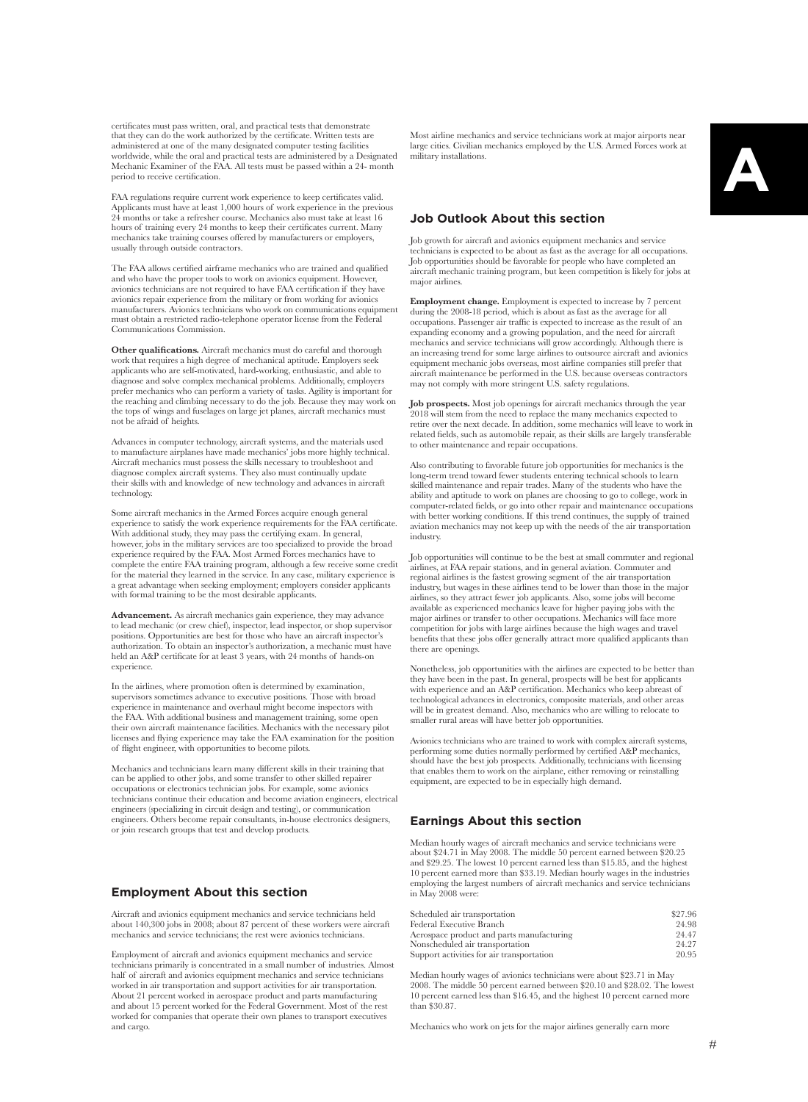certificates must pass written, oral, and practical tests that demonstrate that they can do the work authorized by the certificate. Written tests are administered at one of the many designated computer testing facilities worldwide, while the oral and practical tests are administered by a Designated Mechanic Examiner of the FAA. All tests must be passed within a 24- month period to receive certification.

FAA regulations require current work experience to keep certificates valid. Applicants must have at least 1,000 hours of work experience in the previous 24 months or take a refresher course. Mechanics also must take at least 16 hours of training every 24 months to keep their certificates current. Many mechanics take training courses offered by manufacturers or employers, usually through outside contractors.

The FAA allows certified airframe mechanics who are trained and qualified and who have the proper tools to work on avionics equipment. However, avionics technicians are not required to have FAA certification if they have avionics repair experience from the military or from working for avionics manufacturers. Avionics technicians who work on communications equipment must obtain a restricted radio-telephone operator license from the Federal Communications Commission.

**Other qualifications.** Aircraft mechanics must do careful and thorough work that requires a high degree of mechanical aptitude. Employers seek applicants who are self-motivated, hard-working, enthusiastic, and able to diagnose and solve complex mechanical problems. Additionally, employers prefer mechanics who can perform a variety of tasks. Agility is important for the reaching and climbing necessary to do the job. Because they may work on the tops of wings and fuselages on large jet planes, aircraft mechanics must not be afraid of heights.

Advances in computer technology, aircraft systems, and the materials used to manufacture airplanes have made mechanics' jobs more highly technical. Aircraft mechanics must possess the skills necessary to troubleshoot and diagnose complex aircraft systems. They also must continually update their skills with and knowledge of new technology and advances in aircraft technology.

Some aircraft mechanics in the Armed Forces acquire enough general experience to satisfy the work experience requirements for the FAA certificate. With additional study, they may pass the certifying exam. In general, however, jobs in the military services are too specialized to provide the broad experience required by the FAA. Most Armed Forces mechanics have to complete the entire FAA training program, although a few receive some credit for the material they learned in the service. In any case, military experience is a great advantage when seeking employment; employers consider applicants with formal training to be the most desirable applicants.

**Advancement.** As aircraft mechanics gain experience, they may advance to lead mechanic (or crew chief), inspector, lead inspector, or shop supervisor positions. Opportunities are best for those who have an aircraft inspector's authorization. To obtain an inspector's authorization, a mechanic must have held an A&P certificate for at least 3 years, with 24 months of hands-on experience.

In the airlines, where promotion often is determined by examination, supervisors sometimes advance to executive positions. Those with broad experience in maintenance and overhaul might become inspectors with the FAA. With additional business and management training, some open their own aircraft maintenance facilities. Mechanics with the necessary pilot licenses and flying experience may take the FAA examination for the position of flight engineer, with opportunities to become pilots.

Mechanics and technicians learn many different skills in their training that can be applied to other jobs, and some transfer to other skilled repairer occupations or electronics technician jobs. For example, some avionics technicians continue their education and become aviation engineers, electrical engineers (specializing in circuit design and testing), or communication engineers. Others become repair consultants, in-house electronics designers, or join research groups that test and develop products.

# **Employment About this section**

Aircraft and avionics equipment mechanics and service technicians held about 140,300 jobs in 2008; about 87 percent of these workers were aircraft mechanics and service technicians; the rest were avionics technicians.

Employment of aircraft and avionics equipment mechanics and service technicians primarily is concentrated in a small number of industries. Almost half of aircraft and avionics equipment mechanics and service technicians worked in air transportation and support activities for air transportation. About 21 percent worked in aerospace product and parts manufacturing and about 15 percent worked for the Federal Government. Most of the rest worked for companies that operate their own planes to transport executives and cargo.

Most airline mechanics and service technicians work at major airports near large cities. Civilian mechanics employed by the U.S. Armed Forces work at military installations.

# **Job Outlook About this section**

Job growth for aircraft and avionics equipment mechanics and service technicians is expected to be about as fast as the average for all occupations. Job opportunities should be favorable for people who have completed an aircraft mechanic training program, but keen competition is likely for jobs at major airlines.

**Employment change.** Employment is expected to increase by 7 percent during the 2008-18 period, which is about as fast as the average for all occupations. Passenger air traffic is expected to increase as the result of an expanding economy and a growing population, and the need for aircraft mechanics and service technicians will grow accordingly. Although there is an increasing trend for some large airlines to outsource aircraft and avionics equipment mechanic jobs overseas, most airline companies still prefer that aircraft maintenance be performed in the U.S. because overseas contractors may not comply with more stringent U.S. safety regulations.

Job prospects. Most job openings for aircraft mechanics through the year 2018 will stem from the need to replace the many mechanics expected to retire over the next decade. In addition, some mechanics will leave to work in related fields, such as automobile repair, as their skills are largely transferable to other maintenance and repair occupations.

Also contributing to favorable future job opportunities for mechanics is the long-term trend toward fewer students entering technical schools to learn skilled maintenance and repair trades. Many of the students who have the ability and aptitude to work on planes are choosing to go to college, work in computer-related fields, or go into other repair and maintenance occupations with better working conditions. If this trend continues, the supply of trained aviation mechanics may not keep up with the needs of the air transportation industry.

Job opportunities will continue to be the best at small commuter and regional airlines, at FAA repair stations, and in general aviation. Commuter and regional airlines is the fastest growing segment of the air transportation industry, but wages in these airlines tend to be lower than those in the major airlines, so they attract fewer job applicants. Also, some jobs will become available as experienced mechanics leave for higher paying jobs with the major airlines or transfer to other occupations. Mechanics will face more competition for jobs with large airlines because the high wages and travel benefits that these jobs offer generally attract more qualified applicants than there are openings.

Nonetheless, job opportunities with the airlines are expected to be better than they have been in the past. In general, prospects will be best for applicants with experience and an A&P certification. Mechanics who keep abreast of technological advances in electronics, composite materials, and other areas will be in greatest demand. Also, mechanics who are willing to relocate to smaller rural areas will have better job opportunities.

Avionics technicians who are trained to work with complex aircraft systems, performing some duties normally performed by certified A&P mechanics, should have the best job prospects. Additionally, technicians with licensing that enables them to work on the airplane, either removing or reinstalling equipment, are expected to be in especially high demand.

# **Earnings About this section**

Median hourly wages of aircraft mechanics and service technicians were about \$24.71 in May 2008. The middle 50 percent earned between \$20.25 and \$29.25. The lowest 10 percent earned less than \$15.85, and the highest 10 percent earned more than \$33.19. Median hourly wages in the industries employing the largest numbers of aircraft mechanics and service technicians in May 2008 were:

| Scheduled air transportation              | \$27.96 |
|-------------------------------------------|---------|
| Federal Executive Branch                  | 24.98   |
| Aerospace product and parts manufacturing | 24.47   |
| Nonscheduled air transportation           | 24.27   |
| Support activities for air transportation | 20.95   |

Median hourly wages of avionics technicians were about \$23.71 in May 2008. The middle 50 percent earned between \$20.10 and \$28.02. The lowest 10 percent earned less than \$16.45, and the highest 10 percent earned more than \$30.87.

Mechanics who work on jets for the major airlines generally earn more